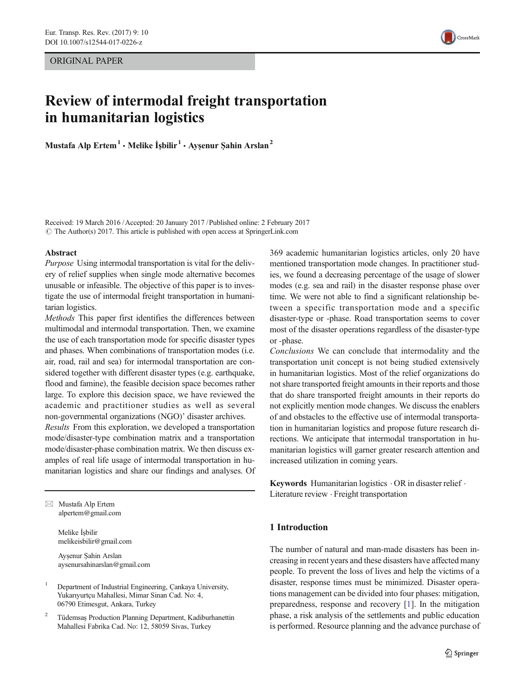ORIGINAL PAPER

# Review of intermodal freight transportation in humanitarian logistics

Mustafa Alp Ertem<sup>1</sup> · Melike İşbilir<sup>1</sup> · Ayşenur Şahin Arslan<sup>2</sup>



Received: 19 March 2016 /Accepted: 20 January 2017 / Published online: 2 February 2017  $\odot$  The Author(s) 2017. This article is published with open access at SpringerLink.com

#### Abstract

Purpose Using intermodal transportation is vital for the delivery of relief supplies when single mode alternative becomes unusable or infeasible. The objective of this paper is to investigate the use of intermodal freight transportation in humanitarian logistics.

Methods This paper first identifies the differences between multimodal and intermodal transportation. Then, we examine the use of each transportation mode for specific disaster types and phases. When combinations of transportation modes (i.e. air, road, rail and sea) for intermodal transportation are considered together with different disaster types (e.g. earthquake, flood and famine), the feasible decision space becomes rather large. To explore this decision space, we have reviewed the academic and practitioner studies as well as several non-governmental organizations (NGO)' disaster archives.

Results From this exploration, we developed a transportation mode/disaster-type combination matrix and a transportation mode/disaster-phase combination matrix. We then discuss examples of real life usage of intermodal transportation in humanitarian logistics and share our findings and analyses. Of

 $\boxtimes$  Mustafa Alp Ertem alpertem@gmail.com

> Melike İşbilir melikeisbilir@gmail.com

Ayşenur Şahin Arslan aysenursahinarslan@gmail.com

<sup>1</sup> Department of Industrial Engineering, Çankaya University, Yukarıyurtçu Mahallesi, Mimar Sinan Cad. No: 4, 06790 Etimesgut, Ankara, Turkey

<sup>2</sup> Tüdemsaş Production Planning Department, Kadiburhanettin Mahallesi Fabrika Cad. No: 12, 58059 Sivas, Turkey

369 academic humanitarian logistics articles, only 20 have mentioned transportation mode changes. In practitioner studies, we found a decreasing percentage of the usage of slower modes (e.g. sea and rail) in the disaster response phase over time. We were not able to find a significant relationship between a specific transportation mode and a specific disaster-type or -phase. Road transportation seems to cover most of the disaster operations regardless of the disaster-type or -phase.

Conclusions We can conclude that intermodality and the transportation unit concept is not being studied extensively in humanitarian logistics. Most of the relief organizations do not share transported freight amounts in their reports and those that do share transported freight amounts in their reports do not explicitly mention mode changes. We discuss the enablers of and obstacles to the effective use of intermodal transportation in humanitarian logistics and propose future research directions. We anticipate that intermodal transportation in humanitarian logistics will garner greater research attention and increased utilization in coming years.

Keywords Humanitarian logistics  $\cdot$  OR in disaster relief  $\cdot$ Literature review . Freight transportation

# 1 Introduction

The number of natural and man-made disasters has been increasing in recent years and these disasters have affected many people. To prevent the loss of lives and help the victims of a disaster, response times must be minimized. Disaster operations management can be divided into four phases: mitigation, preparedness, response and recovery [[1\]](#page-9-0). In the mitigation phase, a risk analysis of the settlements and public education is performed. Resource planning and the advance purchase of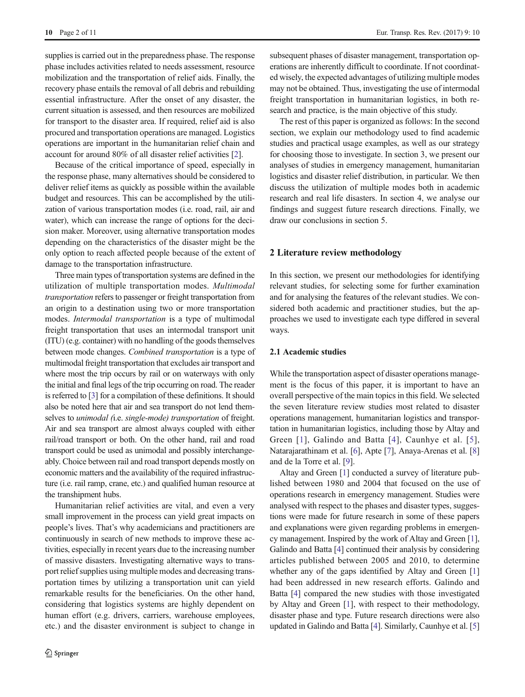supplies is carried out in the preparedness phase. The response phase includes activities related to needs assessment, resource mobilization and the transportation of relief aids. Finally, the recovery phase entails the removal of all debris and rebuilding essential infrastructure. After the onset of any disaster, the current situation is assessed, and then resources are mobilized for transport to the disaster area. If required, relief aid is also procured and transportation operations are managed. Logistics operations are important in the humanitarian relief chain and account for around 80% of all disaster relief activities [[2\]](#page-9-0).

Because of the critical importance of speed, especially in the response phase, many alternatives should be considered to deliver relief items as quickly as possible within the available budget and resources. This can be accomplished by the utilization of various transportation modes (i.e. road, rail, air and water), which can increase the range of options for the decision maker. Moreover, using alternative transportation modes depending on the characteristics of the disaster might be the only option to reach affected people because of the extent of damage to the transportation infrastructure.

Three main types of transportation systems are defined in the utilization of multiple transportation modes. Multimodal transportation refers to passenger or freight transportation from an origin to a destination using two or more transportation modes. Intermodal transportation is a type of multimodal freight transportation that uses an intermodal transport unit (ITU) (e.g. container) with no handling of the goods themselves between mode changes. Combined transportation is a type of multimodal freight transportation that excludes air transport and where most the trip occurs by rail or on waterways with only the initial and final legs of the trip occurring on road. The reader is referred to [\[3](#page-10-0)] for a compilation of these definitions. It should also be noted here that air and sea transport do not lend themselves to unimodal (i.e. single-mode) transportation of freight. Air and sea transport are almost always coupled with either rail/road transport or both. On the other hand, rail and road transport could be used as unimodal and possibly interchangeably. Choice between rail and road transport depends mostly on economic matters and the availability of the required infrastructure (i.e. rail ramp, crane, etc.) and qualified human resource at the transhipment hubs.

Humanitarian relief activities are vital, and even a very small improvement in the process can yield great impacts on people's lives. That's why academicians and practitioners are continuously in search of new methods to improve these activities, especially in recent years due to the increasing number of massive disasters. Investigating alternative ways to transport relief supplies using multiple modes and decreasing transportation times by utilizing a transportation unit can yield remarkable results for the beneficiaries. On the other hand, considering that logistics systems are highly dependent on human effort (e.g. drivers, carriers, warehouse employees, etc.) and the disaster environment is subject to change in

subsequent phases of disaster management, transportation operations are inherently difficult to coordinate. If not coordinated wisely, the expected advantages of utilizing multiple modes may not be obtained. Thus, investigating the use of intermodal freight transportation in humanitarian logistics, in both research and practice, is the main objective of this study.

The rest of this paper is organized as follows: In the second section, we explain our methodology used to find academic studies and practical usage examples, as well as our strategy for choosing those to investigate. In section 3, we present our analyses of studies in emergency management, humanitarian logistics and disaster relief distribution, in particular. We then discuss the utilization of multiple modes both in academic research and real life disasters. In section 4, we analyse our findings and suggest future research directions. Finally, we draw our conclusions in section 5.

#### 2 Literature review methodology

In this section, we present our methodologies for identifying relevant studies, for selecting some for further examination and for analysing the features of the relevant studies. We considered both academic and practitioner studies, but the approaches we used to investigate each type differed in several ways.

#### 2.1 Academic studies

While the transportation aspect of disaster operations management is the focus of this paper, it is important to have an overall perspective of the main topics in this field. We selected the seven literature review studies most related to disaster operations management, humanitarian logistics and transportation in humanitarian logistics, including those by Altay and Green [[1](#page-9-0)], Galindo and Batta [\[4\]](#page-10-0), Caunhye et al. [[5](#page-10-0)], Natarajarathinam et al. [[6\]](#page-10-0), Apte [\[7\]](#page-10-0), Anaya-Arenas et al. [\[8](#page-10-0)] and de la Torre et al. [\[9](#page-10-0)].

Altay and Green [[1](#page-9-0)] conducted a survey of literature published between 1980 and 2004 that focused on the use of operations research in emergency management. Studies were analysed with respect to the phases and disaster types, suggestions were made for future research in some of these papers and explanations were given regarding problems in emergency management. Inspired by the work of Altay and Green [[1\]](#page-9-0), Galindo and Batta [\[4](#page-10-0)] continued their analysis by considering articles published between 2005 and 2010, to determine whether any of the gaps identified by Altay and Green [\[1\]](#page-9-0) had been addressed in new research efforts. Galindo and Batta [\[4](#page-10-0)] compared the new studies with those investigated by Altay and Green [[1\]](#page-9-0), with respect to their methodology, disaster phase and type. Future research directions were also updated in Galindo and Batta [[4\]](#page-10-0). Similarly, Caunhye et al. [\[5\]](#page-10-0)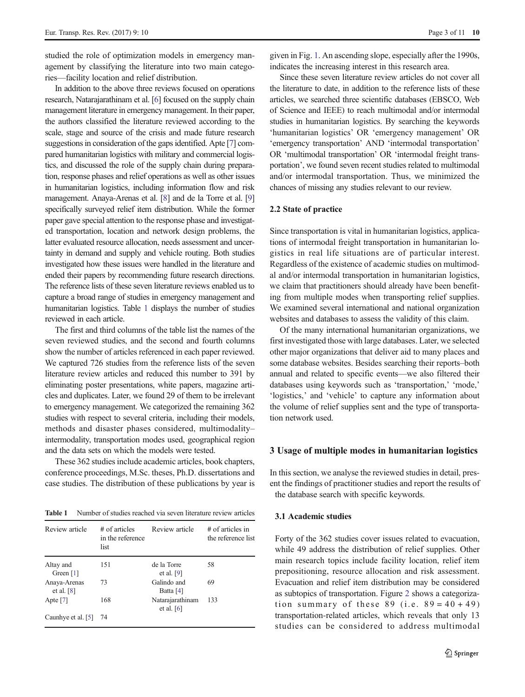studied the role of optimization models in emergency management by classifying the literature into two main categories—facility location and relief distribution.

In addition to the above three reviews focused on operations research, Natarajarathinam et al. [\[6\]](#page-10-0) focused on the supply chain management literature in emergency management. In their paper, the authors classified the literature reviewed according to the scale, stage and source of the crisis and made future research suggestions in consideration of the gaps identified. Apte [\[7\]](#page-10-0) compared humanitarian logistics with military and commercial logistics, and discussed the role of the supply chain during preparation, response phases and relief operations as well as other issues in humanitarian logistics, including information flow and risk management. Anaya-Arenas et al. [\[8\]](#page-10-0) and de la Torre et al. [\[9\]](#page-10-0) specifically surveyed relief item distribution. While the former paper gave special attention to the response phase and investigated transportation, location and network design problems, the latter evaluated resource allocation, needs assessment and uncertainty in demand and supply and vehicle routing. Both studies investigated how these issues were handled in the literature and ended their papers by recommending future research directions. The reference lists of these seven literature reviews enabled us to capture a broad range of studies in emergency management and humanitarian logistics. Table 1 displays the number of studies reviewed in each article.

The first and third columns of the table list the names of the seven reviewed studies, and the second and fourth columns show the number of articles referenced in each paper reviewed. We captured 726 studies from the reference lists of the seven literature review articles and reduced this number to 391 by eliminating poster presentations, white papers, magazine articles and duplicates. Later, we found 29 of them to be irrelevant to emergency management. We categorized the remaining 362 studies with respect to several criteria, including their models, methods and disaster phases considered, multimodality– intermodality, transportation modes used, geographical region and the data sets on which the models were tested.

These 362 studies include academic articles, book chapters, conference proceedings, M.Sc. theses, Ph.D. dissertations and case studies. The distribution of these publications by year is

Table 1 Number of studies reached via seven literature review articles

| Review article               | # of articles<br>in the reference<br>list | Review article                   | # of articles in<br>the reference list |
|------------------------------|-------------------------------------------|----------------------------------|----------------------------------------|
| Altay and<br>Green $[1]$     | 151                                       | de la Torre<br>et al. $[9]$      | 58                                     |
| Anaya-Arenas<br>et al. $[8]$ | 73                                        | Galindo and<br>Batta [4]         | 69                                     |
| Apte [7]                     | 168                                       | Natarajarathinam<br>et al. $[6]$ | 133                                    |
| Caunhye et al. [5]           | -74                                       |                                  |                                        |

given in Fig. [1](#page-3-0). An ascending slope, especially after the 1990s, indicates the increasing interest in this research area.

Since these seven literature review articles do not cover all the literature to date, in addition to the reference lists of these articles, we searched three scientific databases (EBSCO, Web of Science and IEEE) to reach multimodal and/or intermodal studies in humanitarian logistics. By searching the keywords 'humanitarian logistics' OR 'emergency management' OR 'emergency transportation' AND 'intermodal transportation' OR 'multimodal transportation' OR 'intermodal freight transportation', we found seven recent studies related to multimodal and/or intermodal transportation. Thus, we minimized the chances of missing any studies relevant to our review.

#### 2.2 State of practice

Since transportation is vital in humanitarian logistics, applications of intermodal freight transportation in humanitarian logistics in real life situations are of particular interest. Regardless of the existence of academic studies on multimodal and/or intermodal transportation in humanitarian logistics, we claim that practitioners should already have been benefiting from multiple modes when transporting relief supplies. We examined several international and national organization websites and databases to assess the validity of this claim.

Of the many international humanitarian organizations, we first investigated those with large databases. Later, we selected other major organizations that deliver aid to many places and some database websites. Besides searching their reports–both annual and related to specific events—we also filtered their databases using keywords such as 'transportation,' 'mode,' 'logistics,' and 'vehicle' to capture any information about the volume of relief supplies sent and the type of transportation network used.

#### 3 Usage of multiple modes in humanitarian logistics

In this section, we analyse the reviewed studies in detail, present the findings of practitioner studies and report the results of the database search with specific keywords.

# 3.1 Academic studies

Forty of the 362 studies cover issues related to evacuation, while 49 address the distribution of relief supplies. Other main research topics include facility location, relief item prepositioning, resource allocation and risk assessment. Evacuation and relief item distribution may be considered as subtopics of transportation. Figure [2](#page-3-0) shows a categorization summary of these 89 (i.e.  $89 = 40 + 49$ ) transportation-related articles, which reveals that only 13 studies can be considered to address multimodal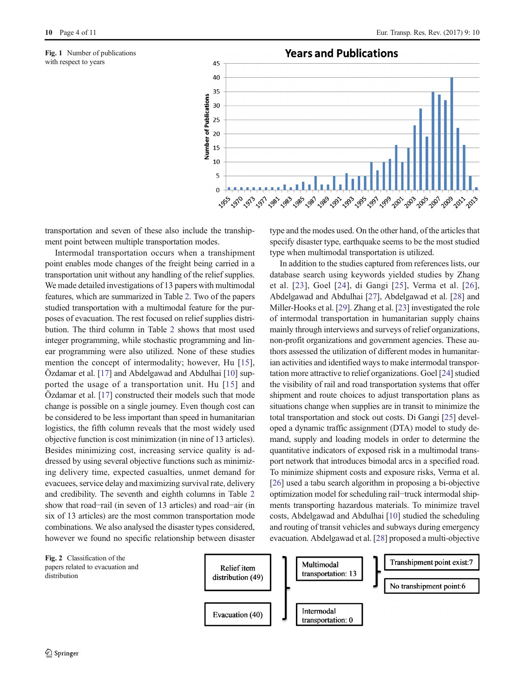<span id="page-3-0"></span>

transportation and seven of these also include the transhipment point between multiple transportation modes.

Intermodal transportation occurs when a transhipment point enables mode changes of the freight being carried in a transportation unit without any handling of the relief supplies. We made detailed investigations of 13 papers with multimodal features, which are summarized in Table [2.](#page-4-0) Two of the papers studied transportation with a multimodal feature for the purposes of evacuation. The rest focused on relief supplies distribution. The third column in Table [2](#page-4-0) shows that most used integer programming, while stochastic programming and linear programming were also utilized. None of these studies mention the concept of intermodality; however, Hu [\[15](#page-10-0)], Özdamar et al. [[17\]](#page-10-0) and Abdelgawad and Abdulhai [[10\]](#page-10-0) supported the usage of a transportation unit. Hu [[15\]](#page-10-0) and Özdamar et al. [[17](#page-10-0)] constructed their models such that mode change is possible on a single journey. Even though cost can be considered to be less important than speed in humanitarian logistics, the fifth column reveals that the most widely used objective function is cost minimization (in nine of 13 articles). Besides minimizing cost, increasing service quality is addressed by using several objective functions such as minimizing delivery time, expected casualties, unmet demand for evacuees, service delay and maximizing survival rate, delivery and credibility. The seventh and eighth columns in Table [2](#page-4-0) show that road−rail (in seven of 13 articles) and road−air (in six of 13 articles) are the most common transportation mode combinations. We also analysed the disaster types considered, however we found no specific relationship between disaster type and the modes used. On the other hand, of the articles that specify disaster type, earthquake seems to be the most studied type when multimodal transportation is utilized.

In addition to the studies captured from references lists, our database search using keywords yielded studies by Zhang et al. [[23](#page-10-0)], Goel [[24](#page-10-0)], di Gangi [[25](#page-10-0)], Verma et al. [[26](#page-10-0)], Abdelgawad and Abdulhai [[27\]](#page-10-0), Abdelgawad et al. [\[28\]](#page-10-0) and Miller-Hooks et al. [\[29\]](#page-10-0). Zhang et al. [[23\]](#page-10-0) investigated the role of intermodal transportation in humanitarian supply chains mainly through interviews and surveys of relief organizations, non-profit organizations and government agencies. These authors assessed the utilization of different modes in humanitarian activities and identified ways to make intermodal transportation more attractive to relief organizations. Goel [\[24](#page-10-0)] studied the visibility of rail and road transportation systems that offer shipment and route choices to adjust transportation plans as situations change when supplies are in transit to minimize the total transportation and stock out costs. Di Gangi [\[25](#page-10-0)] developed a dynamic traffic assignment (DTA) model to study demand, supply and loading models in order to determine the quantitative indicators of exposed risk in a multimodal transport network that introduces bimodal arcs in a specified road. To minimize shipment costs and exposure risks, Verma et al. [\[26](#page-10-0)] used a tabu search algorithm in proposing a bi-objective optimization model for scheduling rail−truck intermodal shipments transporting hazardous materials. To minimize travel costs, Abdelgawad and Abdulhai [\[10](#page-10-0)] studied the scheduling and routing of transit vehicles and subways during emergency evacuation. Abdelgawad et al. [[28](#page-10-0)] proposed a multi-objective

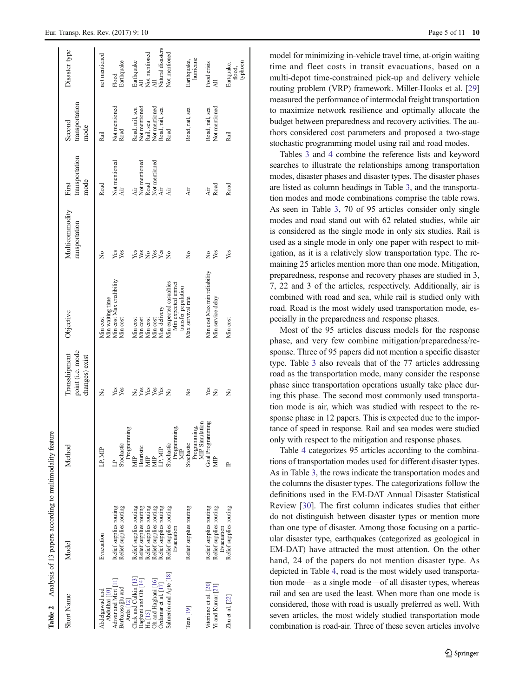<span id="page-4-0"></span>

|                                             | Table 2 Analysis of 13 papers according to multimodality feature |                                              |                                                     |                                           |                                 |                                 |                                  |                                 |
|---------------------------------------------|------------------------------------------------------------------|----------------------------------------------|-----------------------------------------------------|-------------------------------------------|---------------------------------|---------------------------------|----------------------------------|---------------------------------|
| Short Name                                  | Model                                                            | Method                                       | point (i.e. mode<br>Transshipment<br>changes) exist | Objective                                 | Multicommodity<br>ransportation | transportation<br>mode<br>First | transportation<br>Second<br>mode | Disaster type                   |
| Abdulhai [10]<br>Abdelgawad and             | Evacuation                                                       | LP, MIP                                      | ž                                                   | Min waiting time<br>Min cost              | ž                               | Road                            | Rail                             | not mentioned                   |
| Adivar and Mert [11]                        | Relief supplies routing                                          |                                              | Yes                                                 | Min cost Max credibility                  |                                 | Not mentioned                   | Not mentioned                    | Flood                           |
| Barbarosoğlu and                            | Relief supplies routing                                          | Programming<br>Stochastic                    | Yes                                                 | Min cost                                  | Yes<br>Yes                      | Àir                             | Road                             | Earthquake                      |
| Arda [12]<br>Clark and Culkin [13]          | Relief supplies routing                                          | 度                                            |                                                     | Min cost                                  |                                 | Àir                             | Road, rail, sea                  | Earthquake                      |
|                                             |                                                                  |                                              | <b>SEESE</b>                                        | Min cost                                  | <b>ASSESS</b>                   | Not mentioned                   |                                  |                                 |
| Haghani and Oh [14]<br>Hu [15]              | Relief supplies routing<br>Relief supplies routing               | Heuristic<br>MIP<br>MIP                      |                                                     | Min cost                                  |                                 | Road                            | Not mentioned<br>Rail, sea       |                                 |
|                                             |                                                                  |                                              |                                                     | Vin cost                                  |                                 |                                 | Not mentioned                    | Not mentioned<br>All            |
| Oh and Haghani $[16]$ Özdamar et al. $[17]$ | Relief supplies routing<br>Relief supplies routing               | LP, MIP                                      |                                                     | Max delivery                              |                                 | Not mentioned<br>Air            | Road, rail, sea                  | Natural disasters               |
| Salmerón and Apte <sup>[18]</sup>           | Relief supplies routing                                          | Stochastic                                   | $\tilde{z}$                                         | Min expected casualties                   | $\tilde{z}$                     | Air                             | Road                             | Not mentioned                   |
|                                             | Evacuation                                                       | Programming,<br>MIP                          |                                                     | Min expected unmet<br>transfer population |                                 |                                 |                                  |                                 |
| Tean <sup>[19]</sup>                        | Relief supplies routing                                          | MIP Simulation<br>Programming,<br>Stochastic | $\tilde{z}$                                         | Max survival rate                         | $\tilde{z}$                     | Äir                             | Road, rail, sea                  | hurricane<br>Earthquake,        |
| Vitoriano et al. [20]                       | Relief supplies routing                                          | Goal Programming                             | Yes                                                 | Min cost Max min reliability              | $\frac{1}{2}$                   | Air                             | Road, rail, sea                  | Food crisis                     |
| Yi and Kumar [21]                           | Relief supplies routing<br>Evacuation                            | Ê                                            | $\tilde{z}$                                         | Min service delay                         | Yes                             | Road                            | Not mentioned                    | $\overline{z}$                  |
| Zhu et al. $[22]$                           | Relief supplies routing                                          | $\triangleq$                                 | Σò                                                  | Min cost                                  | Yes                             | Road                            | Rail                             | typhoon<br>Eartquake,<br>flood, |

model for minimizing in-vehicle travel time, at-origin waiting time and fleet costs in transit evacuations, based on a multi-depot time-constrained pick-up and delivery vehicle routing problem (VRP) framework. Miller-Hooks et al. [\[29](#page-10-0)] measured the performance of intermodal freight transportation to maximize network resilience and optimally allocate the budget between preparedness and recovery activities. The authors considered cost parameters and proposed a two-stage stochastic programming model using rail and road modes.

Tables [3](#page-5-0) and [4](#page-5-0) combine the reference lists and keyword searches to illustrate the relationships among transportation modes, disaster phases and disaster types. The disaster phases are listed as column headings in Table [3](#page-5-0), and the transportation modes and mode combinations comprise the table rows. As seen in Table [3](#page-5-0), 70 of 95 articles consider only single modes and road stand out with 62 related studies, while air is considered as the single mode in only six studies. Rail is used as a single mode in only one paper with respect to mitigation, as it is a relatively slow transportation type. The remaining 25 articles mention more than one mode. Mitigation, preparedness, response and recovery phases are studied in 3, 7, 22 and 3 of the articles, respectively. Additionally, air is combined with road and sea, while rail is studied only with road. Road is the most widely used transportation mode, especially in the preparedness and response phases.

Most of the 95 articles discuss models for the response phase, and very few combine mitigation/preparedness/response. Three of 95 papers did not mention a specific disaster type. Table [3](#page-5-0) also reveals that of the 77 articles addressing road as the transportation mode, many consider the response phase since transportation operations usually take place during this phase. The second most commonly used transportation mode is air, which was studied with respect to the response phase in 12 papers. This is expected due to the importance of speed in response. Rail and sea modes were studied only with respect to the mitigation and response phases.

Table [4](#page-5-0) categorizes 95 articles according to the combinations of transportation modes used for different disaster types. As in Table [3](#page-5-0), the rows indicate the transportation modes and the columns the disaster types. The categorizations follow the definitions used in the EM-DAT Annual Disaster Statistical Review [\[30](#page-10-0)]. The first column indicates studies that either do not distinguish between disaster types or mention more than one type of disaster. Among those focusing on a particular disaster type, earthquakes (categorized as geological in EM-DAT) have attracted the most attention. On the other hand, 24 of the papers do not mention disaster type. As depicted in Table [4](#page-5-0), road is the most widely used transportation mode—as a single mode—of all disaster types, whereas rail and sea are used the least. When more than one mode is considered, those with road is usually preferred as well. With seven articles, the most widely studied transportation mode combination is road-air. Three of these seven articles involve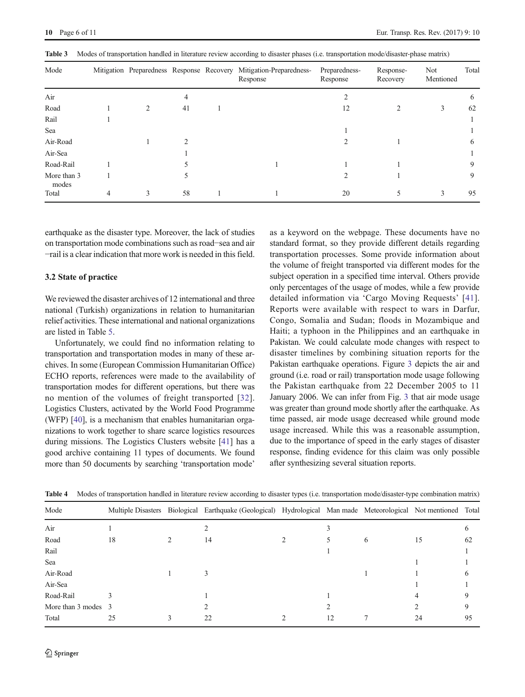| Mode                 |   |   |    | Mitigation Preparedness Response Recovery Mitigation-Preparedness-<br>Response | Preparedness-<br>Response | Response-<br>Recovery | Not<br>Mentioned | Total |
|----------------------|---|---|----|--------------------------------------------------------------------------------|---------------------------|-----------------------|------------------|-------|
| Air                  |   |   | 4  |                                                                                |                           |                       |                  | 6     |
| Road                 |   | 2 | 41 |                                                                                | 12                        |                       | 3                | 62    |
| Rail                 |   |   |    |                                                                                |                           |                       |                  |       |
| Sea                  |   |   |    |                                                                                |                           |                       |                  |       |
| Air-Road             |   |   |    |                                                                                |                           |                       |                  | 6     |
| Air-Sea              |   |   |    |                                                                                |                           |                       |                  |       |
| Road-Rail            |   |   |    |                                                                                |                           |                       |                  |       |
| More than 3<br>modes |   |   |    |                                                                                |                           |                       |                  |       |
| Total                | 4 | 3 | 58 |                                                                                | 20                        | 5.                    | 3                | 95    |

<span id="page-5-0"></span>Table 3 Modes of transportation handled in literature review according to disaster phases (i.e. transportation mode/disaster-phase matrix)

earthquake as the disaster type. Moreover, the lack of studies on transportation mode combinations such as road−sea and air −rail is a clear indication that more work is needed in this field.

# 3.2 State of practice

We reviewed the disaster archives of 12 international and three national (Turkish) organizations in relation to humanitarian relief activities. These international and national organizations are listed in Table [5.](#page-6-0)

Unfortunately, we could find no information relating to transportation and transportation modes in many of these archives. In some (European Commission Humanitarian Office) ECHO reports, references were made to the availability of transportation modes for different operations, but there was no mention of the volumes of freight transported [[32](#page-10-0)]. Logistics Clusters, activated by the World Food Programme (WFP) [[40](#page-10-0)], is a mechanism that enables humanitarian organizations to work together to share scarce logistics resources during missions. The Logistics Clusters website [\[41](#page-10-0)] has a good archive containing 11 types of documents. We found more than 50 documents by searching 'transportation mode'

as a keyword on the webpage. These documents have no standard format, so they provide different details regarding transportation processes. Some provide information about the volume of freight transported via different modes for the subject operation in a specified time interval. Others provide only percentages of the usage of modes, while a few provide detailed information via 'Cargo Moving Requests' [[41](#page-10-0)]. Reports were available with respect to wars in Darfur, Congo, Somalia and Sudan; floods in Mozambique and Haiti; a typhoon in the Philippines and an earthquake in Pakistan. We could calculate mode changes with respect to disaster timelines by combining situation reports for the Pakistan earthquake operations. Figure [3](#page-6-0) depicts the air and ground (i.e. road or rail) transportation mode usage following the Pakistan earthquake from 22 December 2005 to 11 January 2006. We can infer from Fig. [3](#page-6-0) that air mode usage was greater than ground mode shortly after the earthquake. As time passed, air mode usage decreased while ground mode usage increased. While this was a reasonable assumption, due to the importance of speed in the early stages of disaster response, finding evidence for this claim was only possible after synthesizing several situation reports.

| Mode                |    | Multiple Disasters Biological Earthquake (Geological) Hydrological Man made Meteorological Not mentioned Total |  |          |    |     |
|---------------------|----|----------------------------------------------------------------------------------------------------------------|--|----------|----|-----|
| Air                 |    |                                                                                                                |  |          |    | h   |
| Road                | 18 | 14                                                                                                             |  | $\sigma$ | 15 | -62 |
| Rail                |    |                                                                                                                |  |          |    |     |
| Sea                 |    |                                                                                                                |  |          |    |     |
| Air-Road            |    |                                                                                                                |  |          |    | h   |
| Air-Sea             |    |                                                                                                                |  |          |    |     |
| Road-Rail           |    |                                                                                                                |  |          |    |     |
| More than 3 modes 3 |    |                                                                                                                |  |          |    |     |
| Total               | 25 | 22                                                                                                             |  |          | 24 | 95  |

Table 4 Modes of transportation handled in literature review according to disaster types (i.e. transportation mode/disaster-type combination matrix)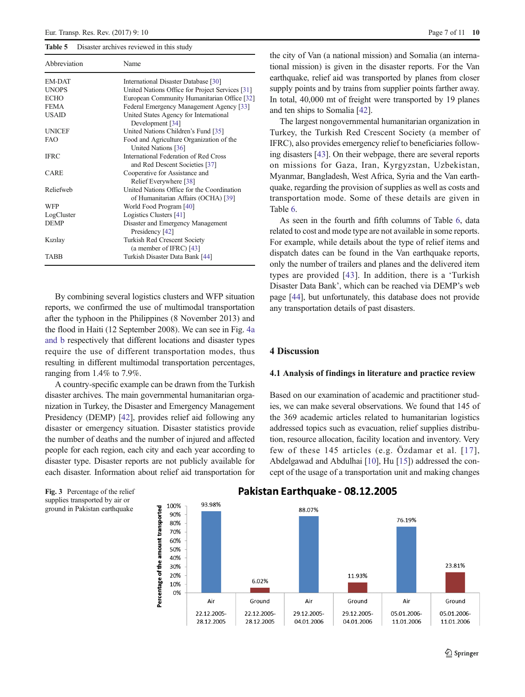<span id="page-6-0"></span>Table 5 Disaster archives reviewed in this study

| Abbreviation  | Name                                                                              |
|---------------|-----------------------------------------------------------------------------------|
| <b>EM-DAT</b> | International Disaster Database [30]                                              |
| <b>UNOPS</b>  | United Nations Office for Project Services [31]                                   |
| <b>ECHO</b>   | European Community Humanitarian Office [32]                                       |
| <b>FEMA</b>   | Federal Emergency Management Agency [33]                                          |
| <b>USAID</b>  | United States Agency for International<br>Development [34]                        |
| <b>UNICEF</b> | United Nations Children's Fund [35]                                               |
| <b>FAO</b>    | Food and Agriculture Organization of the<br>United Nations [36]                   |
| <b>IFRC</b>   | International Federation of Red Cross<br>and Red Descent Societies [37]           |
| CARE          | Cooperative for Assistance and<br>Relief Everywhere [38]                          |
| Reliefweb     | United Nations Office for the Coordination<br>of Humanitarian Affairs (OCHA) [39] |
| <b>WFP</b>    | World Food Program [40]                                                           |
| LogCluster    | Logistics Clusters [41]                                                           |
| <b>DEMP</b>   | Disaster and Emergency Management<br>Presidency [42]                              |
| Kizilay       | Turkish Red Crescent Society<br>(a member of IFRC) [43]                           |
| <b>TABB</b>   | Turkish Disaster Data Bank [44]                                                   |

By combining several logistics clusters and WFP situation reports, we confirmed the use of multimodal transportation after the typhoon in the Philippines (8 November 2013) and the flood in Haiti (12 September 2008). We can see in Fig. [4a](#page-7-0) [and b](#page-7-0) respectively that different locations and disaster types require the use of different transportation modes, thus resulting in different multimodal transportation percentages, ranging from 1.4% to 7.9%.

A country-specific example can be drawn from the Turkish disaster archives. The main governmental humanitarian organization in Turkey, the Disaster and Emergency Management Presidency (DEMP) [[42\]](#page-10-0), provides relief aid following any disaster or emergency situation. Disaster statistics provide the number of deaths and the number of injured and affected people for each region, each city and each year according to disaster type. Disaster reports are not publicly available for each disaster. Information about relief aid transportation for

the city of Van (a national mission) and Somalia (an international mission) is given in the disaster reports. For the Van earthquake, relief aid was transported by planes from closer supply points and by trains from supplier points farther away. In total, 40,000 mt of freight were transported by 19 planes and ten ships to Somalia [[42](#page-10-0)].

The largest nongovernmental humanitarian organization in Turkey, the Turkish Red Crescent Society (a member of IFRC), also provides emergency relief to beneficiaries following disasters [[43\]](#page-10-0). On their webpage, there are several reports on missions for Gaza, Iran, Kyrgyzstan, Uzbekistan, Myanmar, Bangladesh, West Africa, Syria and the Van earthquake, regarding the provision of supplies as well as costs and transportation mode. Some of these details are given in Table [6](#page-7-0).

As seen in the fourth and fifth columns of Table [6](#page-7-0), data related to cost and mode type are not available in some reports. For example, while details about the type of relief items and dispatch dates can be found in the Van earthquake reports, only the number of trailers and planes and the delivered item types are provided [\[43\]](#page-10-0). In addition, there is a 'Turkish Disaster Data Bank', which can be reached via DEMP's web page [\[44\]](#page-10-0), but unfortunately, this database does not provide any transportation details of past disasters.

# 4 Discussion

#### 4.1 Analysis of findings in literature and practice review

Based on our examination of academic and practitioner studies, we can make several observations. We found that 145 of the 369 academic articles related to humanitarian logistics addressed topics such as evacuation, relief supplies distribution, resource allocation, facility location and inventory. Very few of these 145 articles (e.g. Özdamar et al. [[17\]](#page-10-0), Abdelgawad and Abdulhai [[10\]](#page-10-0), Hu [[15\]](#page-10-0)) addressed the concept of the usage of a transportation unit and making changes



Fig. 3 Percentage of the relief supplies transported by air or ground in Pakistan earthquake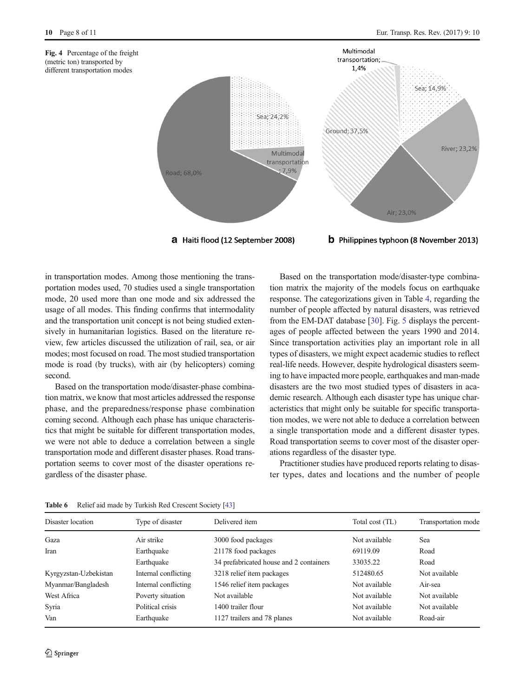<span id="page-7-0"></span>Fig. 4 Percentage of the freight (metric ton) transported by different transportation modes



**a** Haiti flood (12 September 2008)

**b** Philippines typhoon (8 November 2013)

in transportation modes. Among those mentioning the transportation modes used, 70 studies used a single transportation mode, 20 used more than one mode and six addressed the usage of all modes. This finding confirms that intermodality and the transportation unit concept is not being studied extensively in humanitarian logistics. Based on the literature review, few articles discussed the utilization of rail, sea, or air modes; most focused on road. The most studied transportation mode is road (by trucks), with air (by helicopters) coming second.

Based on the transportation mode/disaster-phase combination matrix, we know that most articles addressed the response phase, and the preparedness/response phase combination coming second. Although each phase has unique characteristics that might be suitable for different transportation modes, we were not able to deduce a correlation between a single transportation mode and different disaster phases. Road transportation seems to cover most of the disaster operations regardless of the disaster phase.

Based on the transportation mode/disaster-type combination matrix the majority of the models focus on earthquake response. The categorizations given in Table [4,](#page-5-0) regarding the number of people affected by natural disasters, was retrieved from the EM-DAT database [\[30](#page-10-0)]. Fig. [5](#page-8-0) displays the percentages of people affected between the years 1990 and 2014. Since transportation activities play an important role in all types of disasters, we might expect academic studies to reflect real-life needs. However, despite hydrological disasters seeming to have impacted more people, earthquakes and man-made disasters are the two most studied types of disasters in academic research. Although each disaster type has unique characteristics that might only be suitable for specific transportation modes, we were not able to deduce a correlation between a single transportation mode and a different disaster types. Road transportation seems to cover most of the disaster operations regardless of the disaster type.

Practitioner studies have produced reports relating to disaster types, dates and locations and the number of people

| Disaster location     | Type of disaster     | Delivered item                          | Total cost (TL) | Transportation mode |
|-----------------------|----------------------|-----------------------------------------|-----------------|---------------------|
| Gaza                  | Air strike           | 3000 food packages                      | Not available   | Sea                 |
| <b>Iran</b>           | Earthquake           | 21178 food packages                     | 69119.09        | Road                |
|                       | Earthquake           | 34 prefabricated house and 2 containers | 33035.22        | Road                |
| Kyrgyzstan-Uzbekistan | Internal conflicting | 3218 relief item packages               | 512480.65       | Not available       |
| Myanmar/Bangladesh    | Internal conflicting | 1546 relief item packages               | Not available   | Air-sea             |
| West Africa           | Poverty situation    | Not available                           | Not available   | Not available       |
| Syria                 | Political crisis     | 1400 trailer flour                      | Not available   | Not available       |
| Van                   | Earthquake           | 1127 trailers and 78 planes             | Not available   | Road-air            |

Table 6 Relief aid made by Turkish Red Crescent Society [[43\]](#page-10-0)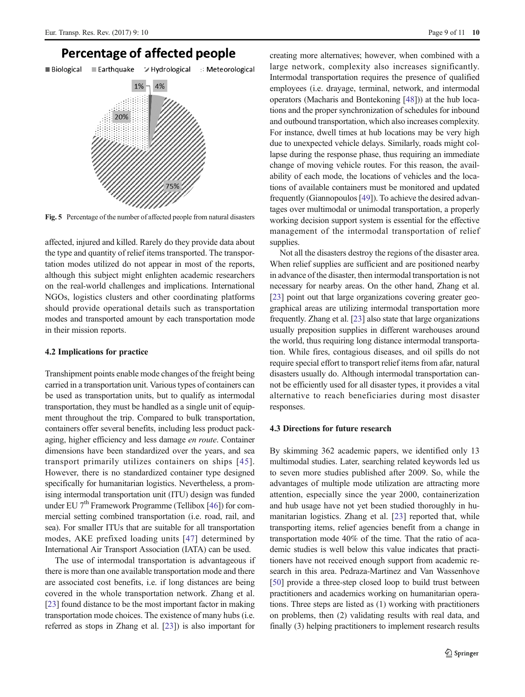# <span id="page-8-0"></span>Percentage of affected people

■ Biological ■ Earthquake ンHydrological : Meteorological



Fig. 5 Percentage of the number of affected people from natural disasters

affected, injured and killed. Rarely do they provide data about the type and quantity of relief items transported. The transportation modes utilized do not appear in most of the reports, although this subject might enlighten academic researchers on the real-world challenges and implications. International NGOs, logistics clusters and other coordinating platforms should provide operational details such as transportation modes and transported amount by each transportation mode in their mission reports.

#### 4.2 Implications for practice

Transhipment points enable mode changes of the freight being carried in a transportation unit. Various types of containers can be used as transportation units, but to qualify as intermodal transportation, they must be handled as a single unit of equipment throughout the trip. Compared to bulk transportation, containers offer several benefits, including less product packaging, higher efficiency and less damage en route. Container dimensions have been standardized over the years, and sea transport primarily utilizes containers on ships [[45\]](#page-10-0). However, there is no standardized container type designed specifically for humanitarian logistics. Nevertheless, a promising intermodal transportation unit (ITU) design was funded under EU  $7<sup>th</sup>$  Framework Programme (Tellibox [[46](#page-10-0)]) for commercial setting combined transportation (i.e. road, rail, and sea). For smaller ITUs that are suitable for all transportation modes, AKE prefixed loading units [[47](#page-10-0)] determined by International Air Transport Association (IATA) can be used.

The use of intermodal transportation is advantageous if there is more than one available transportation mode and there are associated cost benefits, i.e. if long distances are being covered in the whole transportation network. Zhang et al. [\[23\]](#page-10-0) found distance to be the most important factor in making transportation mode choices. The existence of many hubs (i.e. referred as stops in Zhang et al. [\[23](#page-10-0)]) is also important for

creating more alternatives; however, when combined with a large network, complexity also increases significantly. Intermodal transportation requires the presence of qualified employees (i.e. drayage, terminal, network, and intermodal operators (Macharis and Bontekoning [\[48](#page-10-0)])) at the hub locations and the proper synchronization of schedules for inbound and outbound transportation, which also increases complexity. For instance, dwell times at hub locations may be very high due to unexpected vehicle delays. Similarly, roads might collapse during the response phase, thus requiring an immediate change of moving vehicle routes. For this reason, the availability of each mode, the locations of vehicles and the locations of available containers must be monitored and updated frequently (Giannopoulos [\[49](#page-10-0)]). To achieve the desired advantages over multimodal or unimodal transportation, a properly working decision support system is essential for the effective management of the intermodal transportation of relief supplies.

Not all the disasters destroy the regions of the disaster area. When relief supplies are sufficient and are positioned nearby in advance of the disaster, then intermodal transportation is not necessary for nearby areas. On the other hand, Zhang et al. [\[23](#page-10-0)] point out that large organizations covering greater geographical areas are utilizing intermodal transportation more frequently. Zhang et al. [\[23\]](#page-10-0) also state that large organizations usually preposition supplies in different warehouses around the world, thus requiring long distance intermodal transportation. While fires, contagious diseases, and oil spills do not require special effort to transport relief items from afar, natural disasters usually do. Although intermodal transportation cannot be efficiently used for all disaster types, it provides a vital alternative to reach beneficiaries during most disaster responses.

# 4.3 Directions for future research

By skimming 362 academic papers, we identified only 13 multimodal studies. Later, searching related keywords led us to seven more studies published after 2009. So, while the advantages of multiple mode utilization are attracting more attention, especially since the year 2000, containerization and hub usage have not yet been studied thoroughly in humanitarian logistics. Zhang et al. [[23\]](#page-10-0) reported that, while transporting items, relief agencies benefit from a change in transportation mode 40% of the time. That the ratio of academic studies is well below this value indicates that practitioners have not received enough support from academic research in this area. Pedraza-Martinez and Van Wassenhove [\[50](#page-10-0)] provide a three-step closed loop to build trust between practitioners and academics working on humanitarian operations. Three steps are listed as (1) working with practitioners on problems, then (2) validating results with real data, and finally (3) helping practitioners to implement research results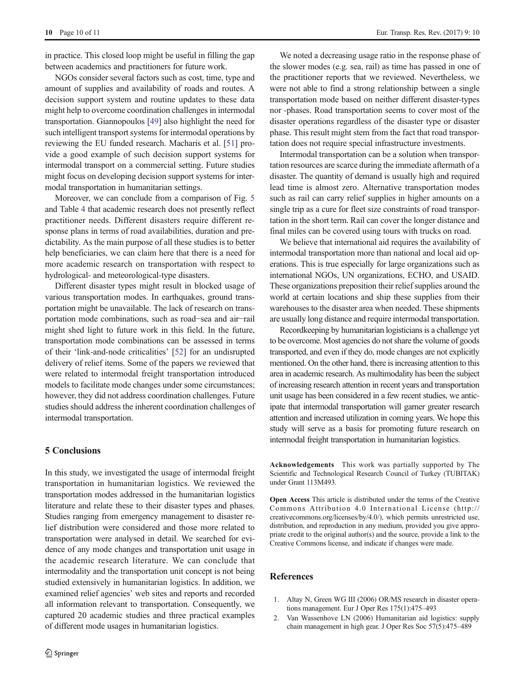<span id="page-9-0"></span>in practice. This closed loop might be useful in filling the gap between academics and practitioners for future work.

NGOs consider several factors such as cost, time, type and amount of supplies and availability of roads and routes. A decision support system and routine updates to these data might help to overcome coordination challenges in intermodal transportation. Giannopoulos [\[49\]](#page-10-0) also highlight the need for such intelligent transport systems for intermodal operations by reviewing the EU funded research. Macharis et al. [[51\]](#page-10-0) provide a good example of such decision support systems for intermodal transport on a commercial setting. Future studies might focus on developing decision support systems for intermodal transportation in humanitarian settings.

Moreover, we can conclude from a comparison of Fig. [5](#page-8-0) and Table [4](#page-5-0) that academic research does not presently reflect practitioner needs. Different disasters require different response plans in terms of road availabilities, duration and predictability. As the main purpose of all these studies is to better help beneficiaries, we can claim here that there is a need for more academic research on transportation with respect to hydrological- and meteorological-type disasters.

Different disaster types might result in blocked usage of various transportation modes. In earthquakes, ground transportation might be unavailable. The lack of research on transportation mode combinations, such as road−sea and air−rail might shed light to future work in this field. In the future, transportation mode combinations can be assessed in terms of their 'link-and-node criticalities' [\[52](#page-10-0)] for an undisrupted delivery of relief items. Some of the papers we reviewed that were related to intermodal freight transportation introduced models to facilitate mode changes under some circumstances; however, they did not address coordination challenges. Future studies should address the inherent coordination challenges of intermodal transportation.

# 5 Conclusions

In this study, we investigated the usage of intermodal freight transportation in humanitarian logistics. We reviewed the transportation modes addressed in the humanitarian logistics literature and relate these to their disaster types and phases. Studies ranging from emergency management to disaster relief distribution were considered and those more related to transportation were analysed in detail. We searched for evidence of any mode changes and transportation unit usage in the academic research literature. We can conclude that intermodality and the transportation unit concept is not being studied extensively in humanitarian logistics. In addition, we examined relief agencies' web sites and reports and recorded all information relevant to transportation. Consequently, we captured 20 academic studies and three practical examples of different mode usages in humanitarian logistics.

We noted a decreasing usage ratio in the response phase of the slower modes (e.g. sea, rail) as time has passed in one of the practitioner reports that we reviewed. Nevertheless, we were not able to find a strong relationship between a single transportation mode based on neither different disaster-types nor -phases. Road transportation seems to cover most of the disaster operations regardless of the disaster type or disaster phase. This result might stem from the fact that road transportation does not require special infrastructure investments.

Intermodal transportation can be a solution when transportation resources are scarce during the immediate aftermath of a disaster. The quantity of demand is usually high and required lead time is almost zero. Alternative transportation modes such as rail can carry relief supplies in higher amounts on a single trip as a cure for fleet size constraints of road transportation in the short term. Rail can cover the longer distance and final miles can be covered using tours with trucks on road.

We believe that international aid requires the availability of intermodal transportation more than national and local aid operations. This is true especially for large organizations such as international NGOs, UN organizations, ECHO, and USAID. These organizations preposition their relief supplies around the world at certain locations and ship these supplies from their warehouses to the disaster area when needed. These shipments are usually long distance and require intermodal transportation.

Recordkeeping by humanitarian logisticians is a challenge yet to be overcome. Most agencies do not share the volume of goods transported, and even if they do, mode changes are not explicitly mentioned. On the other hand, there is increasing attention to this area in academic research. As multimodality has been the subject of increasing research attention in recent years and transportation unit usage has been considered in a few recent studies, we anticipate that intermodal transportation will garner greater research attention and increased utilization in coming years. We hope this study will serve as a basis for promoting future research on intermodal freight transportation in humanitarian logistics.

Acknowledgements This work was partially supported by The Scientific and Technological Research Council of Turkey (TUBITAK) under Grant 113M493.

Open Access This article is distributed under the terms of the Creative Commons Attribution 4.0 International License (http:// creativecommons.org/licenses/by/4.0/), which permits unrestricted use, distribution, and reproduction in any medium, provided you give appropriate credit to the original author(s) and the source, provide a link to the Creative Commons license, and indicate if changes were made.

# References

- 1. Altay N, Green WG III (2006) OR/MS research in disaster operations management. Eur J Oper Res 175(1):475–493
- 2. Van Wassenhove LN (2006) Humanitarian aid logistics: supply chain management in high gear. J Oper Res Soc 57(5):475–489